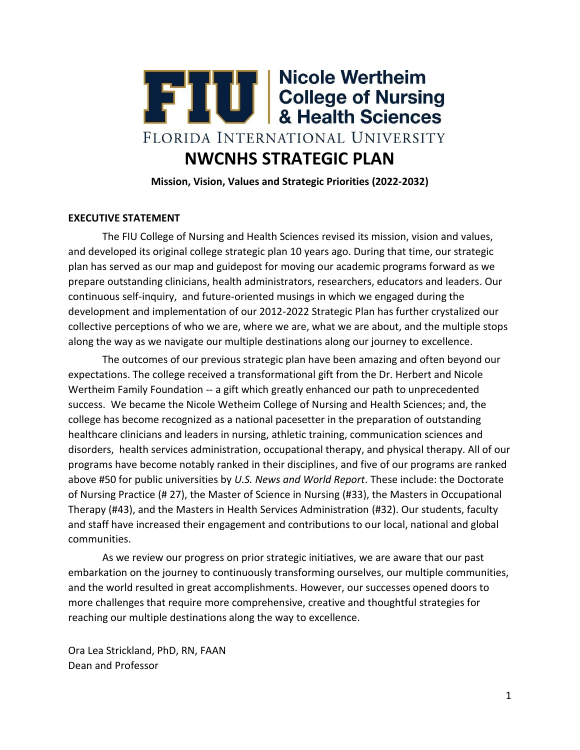

**Mission, Vision, Values and Strategic Priorities (2022-2032)**

## **EXECUTIVE STATEMENT**

The FIU College of Nursing and Health Sciences revised its mission, vision and values, and developed its original college strategic plan 10 years ago. During that time, our strategic plan has served as our map and guidepost for moving our academic programs forward as we prepare outstanding clinicians, health administrators, researchers, educators and leaders. Our continuous self-inquiry, and future-oriented musings in which we engaged during the development and implementation of our 2012-2022 Strategic Plan has further crystalized our collective perceptions of who we are, where we are, what we are about, and the multiple stops along the way as we navigate our multiple destinations along our journey to excellence.

The outcomes of our previous strategic plan have been amazing and often beyond our expectations. The college received a transformational gift from the Dr. Herbert and Nicole Wertheim Family Foundation -- a gift which greatly enhanced our path to unprecedented success. We became the Nicole Wetheim College of Nursing and Health Sciences; and, the college has become recognized as a national pacesetter in the preparation of outstanding healthcare clinicians and leaders in nursing, athletic training, communication sciences and disorders, health services administration, occupational therapy, and physical therapy. All of our programs have become notably ranked in their disciplines, and five of our programs are ranked above #50 for public universities by *U.S. News and World Report*. These include: the Doctorate of Nursing Practice (# 27), the Master of Science in Nursing (#33), the Masters in Occupational Therapy (#43), and the Masters in Health Services Administration (#32). Our students, faculty and staff have increased their engagement and contributions to our local, national and global communities.

As we review our progress on prior strategic initiatives, we are aware that our past embarkation on the journey to continuously transforming ourselves, our multiple communities, and the world resulted in great accomplishments. However, our successes opened doors to more challenges that require more comprehensive, creative and thoughtful strategies for reaching our multiple destinations along the way to excellence.

Ora Lea Strickland, PhD, RN, FAAN Dean and Professor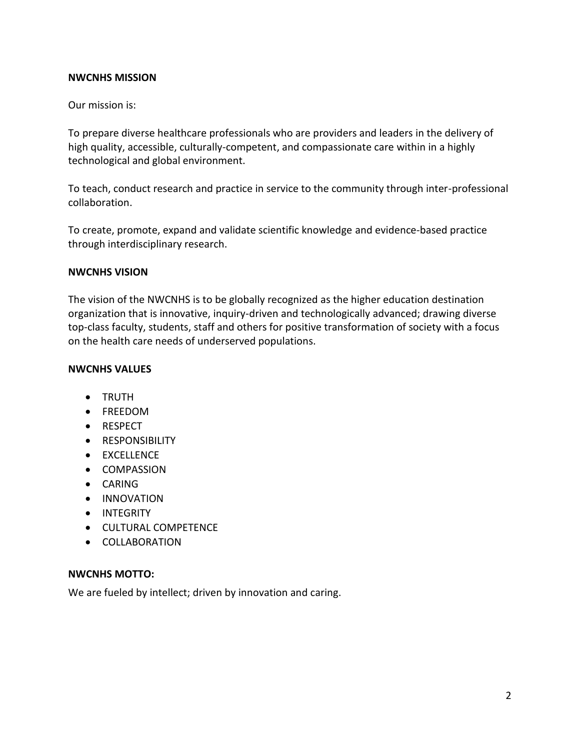## **NWCNHS MISSION**

#### Our mission is:

To prepare diverse healthcare professionals who are providers and leaders in the delivery of high quality, accessible, culturally-competent, and compassionate care within in a highly technological and global environment.

To teach, conduct research and practice in service to the community through inter-professional collaboration.

To create, promote, expand and validate scientific knowledge and evidence-based practice through interdisciplinary research.

#### **NWCNHS VISION**

The vision of the NWCNHS is to be globally recognized as the higher education destination organization that is innovative, inquiry-driven and technologically advanced; drawing diverse top-class faculty, students, staff and others for positive transformation of society with a focus on the health care needs of underserved populations.

#### **NWCNHS VALUES**

- TRUTH
- FREEDOM
- RESPECT
- **•** RESPONSIBILITY
- EXCELLENCE
- COMPASSION
- CARING
- **•** INNOVATION
- INTEGRITY
- CULTURAL COMPETENCE
- COLLABORATION

#### **NWCNHS MOTTO:**

We are fueled by intellect; driven by innovation and caring.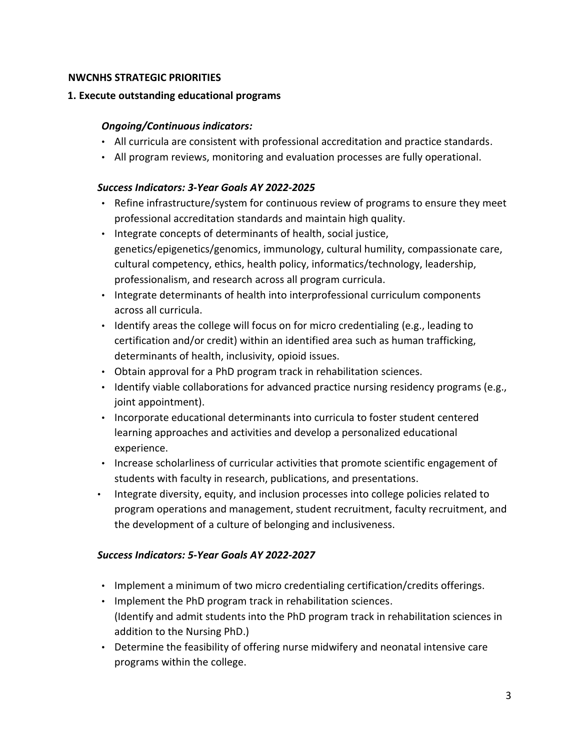## **NWCNHS STRATEGIC PRIORITIES**

## **1. Execute outstanding educational programs**

## *Ongoing/Continuous indicators:*

- All curricula are consistent with professional accreditation and practice standards.
- All program reviews, monitoring and evaluation processes are fully operational.

## *Success Indicators: 3-Year Goals AY 2022-2025*

- Refine infrastructure/system for continuous review of programs to ensure they meet professional accreditation standards and maintain high quality.
- Integrate concepts of determinants of health, social justice, genetics/epigenetics/genomics, immunology, cultural humility, compassionate care, cultural competency, ethics, health policy, informatics/technology, leadership, professionalism, and research across all program curricula.
- Integrate determinants of health into interprofessional curriculum components across all curricula.
- Identify areas the college will focus on for micro credentialing (e.g., leading to certification and/or credit) within an identified area such as human trafficking, determinants of health, inclusivity, opioid issues.
- Obtain approval for a PhD program track in rehabilitation sciences.
- Identify viable collaborations for advanced practice nursing residency programs (e.g., joint appointment).
- Incorporate educational determinants into curricula to foster student centered learning approaches and activities and develop a personalized educational experience.
- Increase scholarliness of curricular activities that promote scientific engagement of students with faculty in research, publications, and presentations.
- Integrate diversity, equity, and inclusion processes into college policies related to program operations and management, student recruitment, faculty recruitment, and the development of a culture of belonging and inclusiveness.

# *Success Indicators: 5-Year Goals AY 2022-2027*

- Implement a minimum of two micro credentialing certification/credits offerings.
- Implement the PhD program track in rehabilitation sciences. (Identify and admit students into the PhD program track in rehabilitation sciences in addition to the Nursing PhD.)
- Determine the feasibility of offering nurse midwifery and neonatal intensive care programs within the college.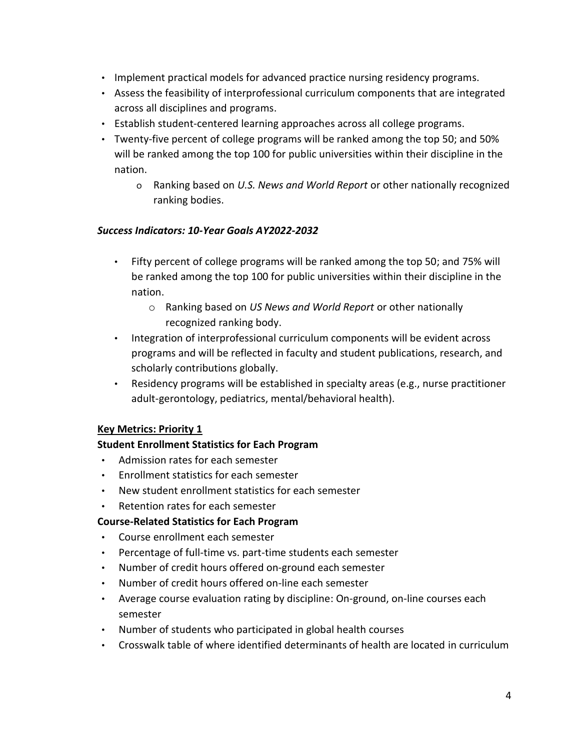- Implement practical models for advanced practice nursing residency programs.
- Assess the feasibility of interprofessional curriculum components that are integrated across all disciplines and programs.
- Establish student-centered learning approaches across all college programs.
- Twenty-five percent of college programs will be ranked among the top 50; and 50% will be ranked among the top 100 for public universities within their discipline in the nation.
	- o Ranking based on *U.S. News and World Report* or other nationally recognized ranking bodies.

## *Success Indicators: 10-Year Goals AY2022-2032*

- Fifty percent of college programs will be ranked among the top 50; and 75% will be ranked among the top 100 for public universities within their discipline in the nation.
	- o Ranking based on *US News and World Report* or other nationally recognized ranking body.
- Integration of interprofessional curriculum components will be evident across programs and will be reflected in faculty and student publications, research, and scholarly contributions globally.
- Residency programs will be established in specialty areas (e.g., nurse practitioner adult-gerontology, pediatrics, mental/behavioral health).

# **Key Metrics: Priority 1**

# **Student Enrollment Statistics for Each Program**

- Admission rates for each semester
- Enrollment statistics for each semester
- New student enrollment statistics for each semester
- Retention rates for each semester

# **Course-Related Statistics for Each Program**

- Course enrollment each semester
- Percentage of full-time vs. part-time students each semester
- Number of credit hours offered on-ground each semester
- Number of credit hours offered on-line each semester
- Average course evaluation rating by discipline: On-ground, on-line courses each semester
- Number of students who participated in global health courses
- Crosswalk table of where identified determinants of health are located in curriculum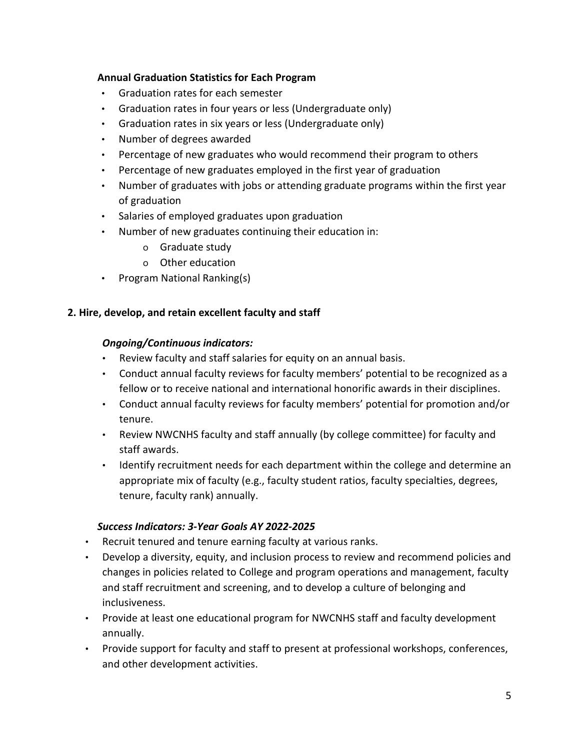# **Annual Graduation Statistics for Each Program**

- Graduation rates for each semester
- Graduation rates in four years or less (Undergraduate only)
- Graduation rates in six years or less (Undergraduate only)
- Number of degrees awarded
- Percentage of new graduates who would recommend their program to others
- Percentage of new graduates employed in the first year of graduation
- Number of graduates with jobs or attending graduate programs within the first year of graduation
- Salaries of employed graduates upon graduation
- Number of new graduates continuing their education in:
	- o Graduate study
	- o Other education
- Program National Ranking(s)

# **2. Hire, develop, and retain excellent faculty and staff**

# *Ongoing/Continuous indicators:*

- Review faculty and staff salaries for equity on an annual basis.
- Conduct annual faculty reviews for faculty members' potential to be recognized as a fellow or to receive national and international honorific awards in their disciplines.
- Conduct annual faculty reviews for faculty members' potential for promotion and/or tenure.
- Review NWCNHS faculty and staff annually (by college committee) for faculty and staff awards.
- Identify recruitment needs for each department within the college and determine an appropriate mix of faculty (e.g., faculty student ratios, faculty specialties, degrees, tenure, faculty rank) annually.

# *Success Indicators: 3-Year Goals AY 2022-2025*

- Recruit tenured and tenure earning faculty at various ranks.
- Develop a diversity, equity, and inclusion process to review and recommend policies and changes in policies related to College and program operations and management, faculty and staff recruitment and screening, and to develop a culture of belonging and inclusiveness.
- Provide at least one educational program for NWCNHS staff and faculty development annually.
- Provide support for faculty and staff to present at professional workshops, conferences, and other development activities.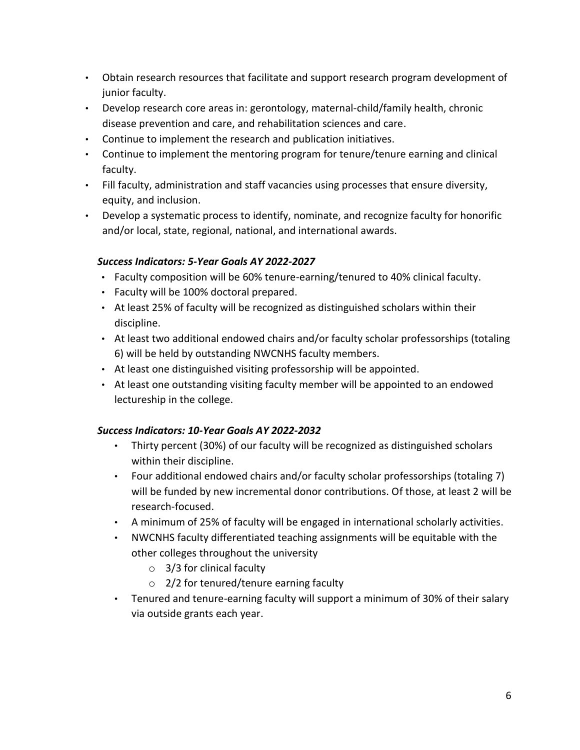- Obtain research resources that facilitate and support research program development of junior faculty.
- Develop research core areas in: gerontology, maternal-child/family health, chronic disease prevention and care, and rehabilitation sciences and care.
- Continue to implement the research and publication initiatives.
- Continue to implement the mentoring program for tenure/tenure earning and clinical faculty.
- Fill faculty, administration and staff vacancies using processes that ensure diversity, equity, and inclusion.
- Develop a systematic process to identify, nominate, and recognize faculty for honorific and/or local, state, regional, national, and international awards.

## *Success Indicators: 5-Year Goals AY 2022-2027*

- Faculty composition will be 60% tenure-earning/tenured to 40% clinical faculty.
- Faculty will be 100% doctoral prepared.
- At least 25% of faculty will be recognized as distinguished scholars within their discipline.
- At least two additional endowed chairs and/or faculty scholar professorships (totaling 6) will be held by outstanding NWCNHS faculty members.
- At least one distinguished visiting professorship will be appointed.
- At least one outstanding visiting faculty member will be appointed to an endowed lectureship in the college.

## *Success Indicators: 10-Year Goals AY 2022-2032*

- Thirty percent (30%) of our faculty will be recognized as distinguished scholars within their discipline.
- Four additional endowed chairs and/or faculty scholar professorships (totaling 7) will be funded by new incremental donor contributions. Of those, at least 2 will be research-focused.
- A minimum of 25% of faculty will be engaged in international scholarly activities.
- NWCNHS faculty differentiated teaching assignments will be equitable with the other colleges throughout the university
	- $\circ$  3/3 for clinical faculty
	- o 2/2 for tenured/tenure earning faculty
- Tenured and tenure-earning faculty will support a minimum of 30% of their salary via outside grants each year.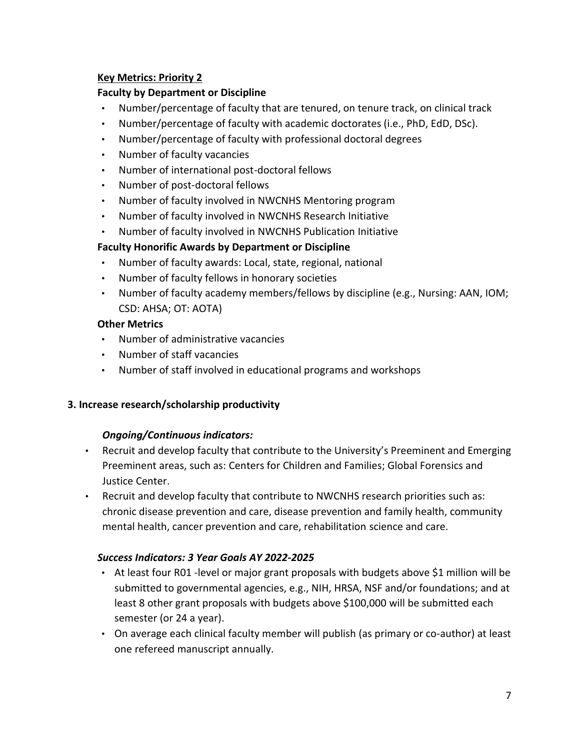# **Key Metrics: Priority 2**

# **Faculty by Department or Discipline**

- Number/percentage of faculty that are tenured, on tenure track, on clinical track
- Number/percentage of faculty with academic doctorates (i.e., PhD, EdD, DSc).
- Number/percentage of faculty with professional doctoral degrees
- Number of faculty vacancies
- Number of international post-doctoral fellows
- Number of post-doctoral fellows
- Number of faculty involved in NWCNHS Mentoring program
- Number of faculty involved in NWCNHS Research Initiative
- Number of faculty involved in NWCNHS Publication Initiative

# **Faculty Honorific Awards by Department or Discipline**

- Number of faculty awards: Local, state, regional, national
- Number of faculty fellows in honorary societies
- Number of faculty academy members/fellows by discipline (e.g., Nursing: AAN, IOM; CSD: AHSA; OT: AOTA)

# **Other Metrics**

- Number of administrative vacancies
- Number of staff vacancies
- Number of staff involved in educational programs and workshops

# **3. Increase research/scholarship productivity**

# *Ongoing/Continuous indicators:*

- Recruit and develop faculty that contribute to the University's Preeminent and Emerging Preeminent areas, such as: Centers for Children and Families; Global Forensics and Justice Center.
- Recruit and develop faculty that contribute to NWCNHS research priorities such as: chronic disease prevention and care, disease prevention and family health, community mental health, cancer prevention and care, rehabilitation science and care.

# *Success Indicators: 3 Year Goals AY 2022-2025*

- At least four R01 -level or major grant proposals with budgets above \$1 million will be submitted to governmental agencies, e.g., NIH, HRSA, NSF and/or foundations; and at least 8 other grant proposals with budgets above \$100,000 will be submitted each semester (or 24 a year).
- On average each clinical faculty member will publish (as primary or co-author) at least one refereed manuscript annually.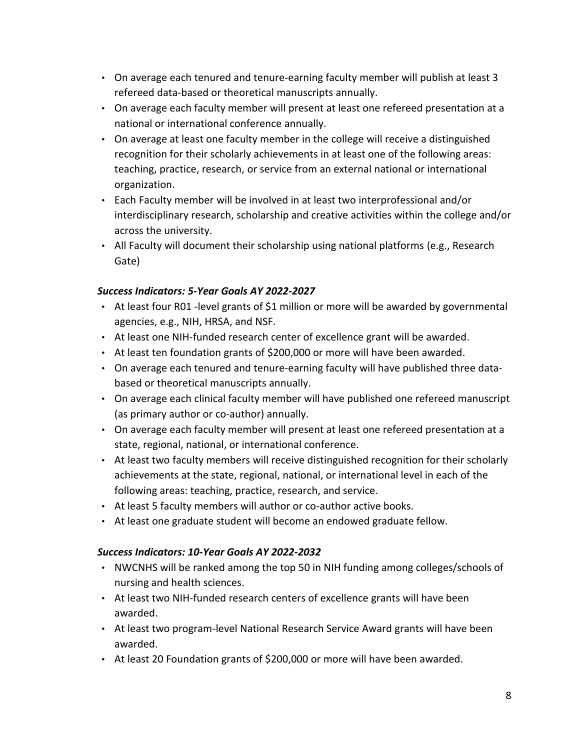- On average each tenured and tenure-earning faculty member will publish at least 3 refereed data-based or theoretical manuscripts annually.
- On average each faculty member will present at least one refereed presentation at a national or international conference annually.
- On average at least one faculty member in the college will receive a distinguished recognition for their scholarly achievements in at least one of the following areas: teaching, practice, research, or service from an external national or international organization.
- Each Faculty member will be involved in at least two interprofessional and/or interdisciplinary research, scholarship and creative activities within the college and/or across the university.
- All Faculty will document their scholarship using national platforms (e.g., Research Gate)

# *Success Indicators: 5-Year Goals AY 2022-2027*

- At least four R01 -level grants of \$1 million or more will be awarded by governmental agencies, e.g., NIH, HRSA, and NSF.
- At least one NIH-funded research center of excellence grant will be awarded.
- At least ten foundation grants of \$200,000 or more will have been awarded.
- On average each tenured and tenure-earning faculty will have published three databased or theoretical manuscripts annually.
- On average each clinical faculty member will have published one refereed manuscript (as primary author or co-author) annually.
- On average each faculty member will present at least one refereed presentation at a state, regional, national, or international conference.
- At least two faculty members will receive distinguished recognition for their scholarly achievements at the state, regional, national, or international level in each of the following areas: teaching, practice, research, and service.
- At least 5 faculty members will author or co-author active books.
- At least one graduate student will become an endowed graduate fellow.

# *Success Indicators: 10-Year Goals AY 2022-2032*

- NWCNHS will be ranked among the top 50 in NIH funding among colleges/schools of nursing and health sciences.
- At least two NIH-funded research centers of excellence grants will have been awarded.
- At least two program-level National Research Service Award grants will have been awarded.
- At least 20 Foundation grants of \$200,000 or more will have been awarded.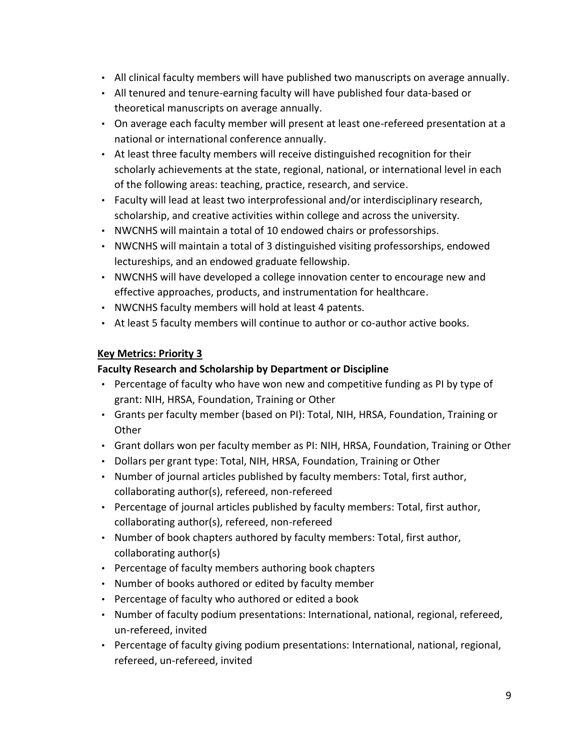- All clinical faculty members will have published two manuscripts on average annually.
- All tenured and tenure-earning faculty will have published four data-based or theoretical manuscripts on average annually.
- On average each faculty member will present at least one-refereed presentation at a national or international conference annually.
- At least three faculty members will receive distinguished recognition for their scholarly achievements at the state, regional, national, or international level in each of the following areas: teaching, practice, research, and service.
- Faculty will lead at least two interprofessional and/or interdisciplinary research, scholarship, and creative activities within college and across the university.
- NWCNHS will maintain a total of 10 endowed chairs or professorships.
- NWCNHS will maintain a total of 3 distinguished visiting professorships, endowed lectureships, and an endowed graduate fellowship.
- NWCNHS will have developed a college innovation center to encourage new and effective approaches, products, and instrumentation for healthcare.
- NWCNHS faculty members will hold at least 4 patents.
- At least 5 faculty members will continue to author or co-author active books.

# **Key Metrics: Priority 3**

# **Faculty Research and Scholarship by Department or Discipline**

- Percentage of faculty who have won new and competitive funding as PI by type of grant: NIH, HRSA, Foundation, Training or Other
- Grants per faculty member (based on PI): Total, NIH, HRSA, Foundation, Training or Other
- Grant dollars won per faculty member as PI: NIH, HRSA, Foundation, Training or Other
- Dollars per grant type: Total, NIH, HRSA, Foundation, Training or Other
- Number of journal articles published by faculty members: Total, first author, collaborating author(s), refereed, non-refereed
- Percentage of journal articles published by faculty members: Total, first author, collaborating author(s), refereed, non-refereed
- Number of book chapters authored by faculty members: Total, first author, collaborating author(s)
- Percentage of faculty members authoring book chapters
- Number of books authored or edited by faculty member
- Percentage of faculty who authored or edited a book
- Number of faculty podium presentations: International, national, regional, refereed, un-refereed, invited
- Percentage of faculty giving podium presentations: International, national, regional, refereed, un-refereed, invited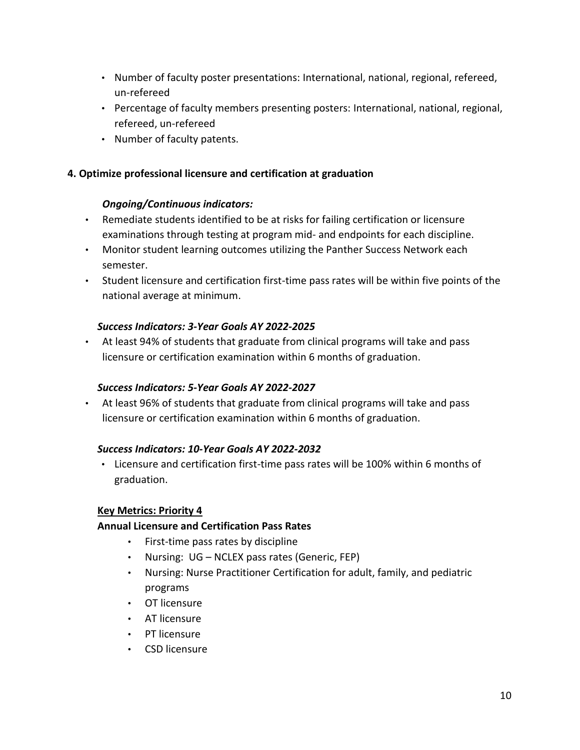- Number of faculty poster presentations: International, national, regional, refereed, un-refereed
- Percentage of faculty members presenting posters: International, national, regional, refereed, un-refereed
- Number of faculty patents.

## **4. Optimize professional licensure and certification at graduation**

### *Ongoing/Continuous indicators:*

- Remediate students identified to be at risks for failing certification or licensure examinations through testing at program mid- and endpoints for each discipline.
- Monitor student learning outcomes utilizing the Panther Success Network each semester.
- Student licensure and certification first-time pass rates will be within five points of the national average at minimum.

### *Success Indicators: 3-Year Goals AY 2022-2025*

• At least 94% of students that graduate from clinical programs will take and pass licensure or certification examination within 6 months of graduation.

# *Success Indicators: 5-Year Goals AY 2022-2027*

• At least 96% of students that graduate from clinical programs will take and pass licensure or certification examination within 6 months of graduation.

### *Success Indicators: 10-Year Goals AY 2022-2032*

• Licensure and certification first-time pass rates will be 100% within 6 months of graduation.

#### **Key Metrics: Priority 4**

# **Annual Licensure and Certification Pass Rates**

- First-time pass rates by discipline
- Nursing: UG NCLEX pass rates (Generic, FEP)
- Nursing: Nurse Practitioner Certification for adult, family, and pediatric programs
- OT licensure
- AT licensure
- PT licensure
- CSD licensure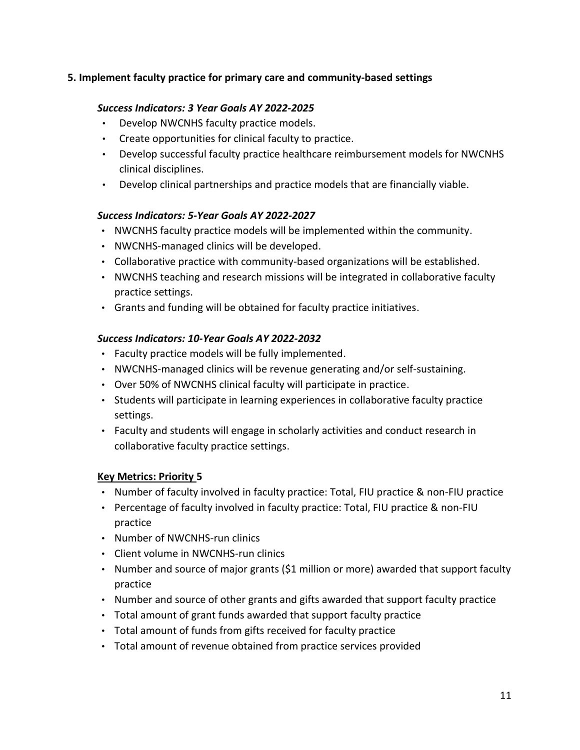# **5. Implement faculty practice for primary care and community-based settings**

# *Success Indicators: 3 Year Goals AY 2022-2025*

- Develop NWCNHS faculty practice models.
- Create opportunities for clinical faculty to practice.
- Develop successful faculty practice healthcare reimbursement models for NWCNHS clinical disciplines.
- Develop clinical partnerships and practice models that are financially viable.

# *Success Indicators: 5-Year Goals AY 2022-2027*

- NWCNHS faculty practice models will be implemented within the community.
- NWCNHS-managed clinics will be developed.
- Collaborative practice with community-based organizations will be established.
- NWCNHS teaching and research missions will be integrated in collaborative faculty practice settings.
- Grants and funding will be obtained for faculty practice initiatives.

## *Success Indicators: 10-Year Goals AY 2022-2032*

- Faculty practice models will be fully implemented.
- NWCNHS-managed clinics will be revenue generating and/or self-sustaining.
- Over 50% of NWCNHS clinical faculty will participate in practice.
- Students will participate in learning experiences in collaborative faculty practice settings.
- Faculty and students will engage in scholarly activities and conduct research in collaborative faculty practice settings.

# **Key Metrics: Priority 5**

- Number of faculty involved in faculty practice: Total, FIU practice & non-FIU practice
- Percentage of faculty involved in faculty practice: Total, FIU practice & non-FIU practice
- Number of NWCNHS-run clinics
- Client volume in NWCNHS-run clinics
- Number and source of major grants (\$1 million or more) awarded that support faculty practice
- Number and source of other grants and gifts awarded that support faculty practice
- Total amount of grant funds awarded that support faculty practice
- Total amount of funds from gifts received for faculty practice
- Total amount of revenue obtained from practice services provided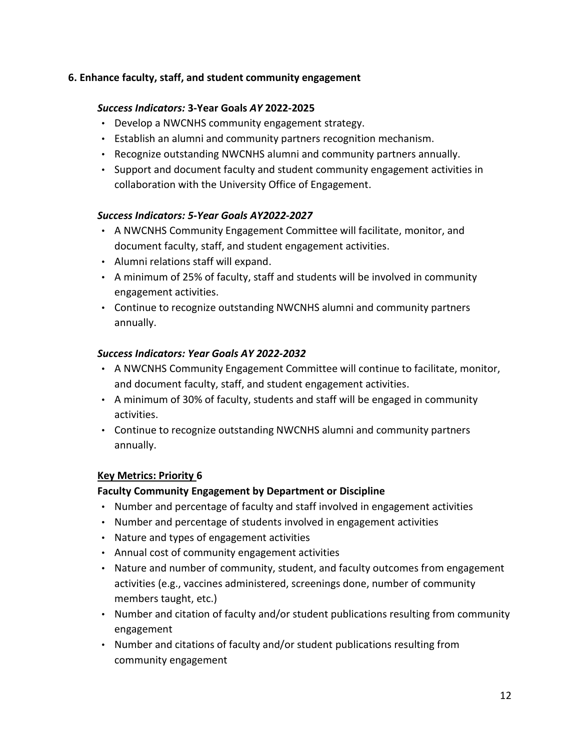# **6. Enhance faculty, staff, and student community engagement**

# *Success Indicators:* **3-Year Goals** *AY* **2022-2025**

- Develop a NWCNHS community engagement strategy.
- Establish an alumni and community partners recognition mechanism.
- Recognize outstanding NWCNHS alumni and community partners annually.
- Support and document faculty and student community engagement activities in collaboration with the University Office of Engagement.

## *Success Indicators: 5-Year Goals AY2022-2027*

- A NWCNHS Community Engagement Committee will facilitate, monitor, and document faculty, staff, and student engagement activities.
- Alumni relations staff will expand.
- A minimum of 25% of faculty, staff and students will be involved in community engagement activities.
- Continue to recognize outstanding NWCNHS alumni and community partners annually.

## *Success Indicators: Year Goals AY 2022-2032*

- A NWCNHS Community Engagement Committee will continue to facilitate, monitor, and document faculty, staff, and student engagement activities.
- A minimum of 30% of faculty, students and staff will be engaged in community activities.
- Continue to recognize outstanding NWCNHS alumni and community partners annually.

## **Key Metrics: Priority 6**

## **Faculty Community Engagement by Department or Discipline**

- Number and percentage of faculty and staff involved in engagement activities
- Number and percentage of students involved in engagement activities
- Nature and types of engagement activities
- Annual cost of community engagement activities
- Nature and number of community, student, and faculty outcomes from engagement activities (e.g., vaccines administered, screenings done, number of community members taught, etc.)
- Number and citation of faculty and/or student publications resulting from community engagement
- Number and citations of faculty and/or student publications resulting from community engagement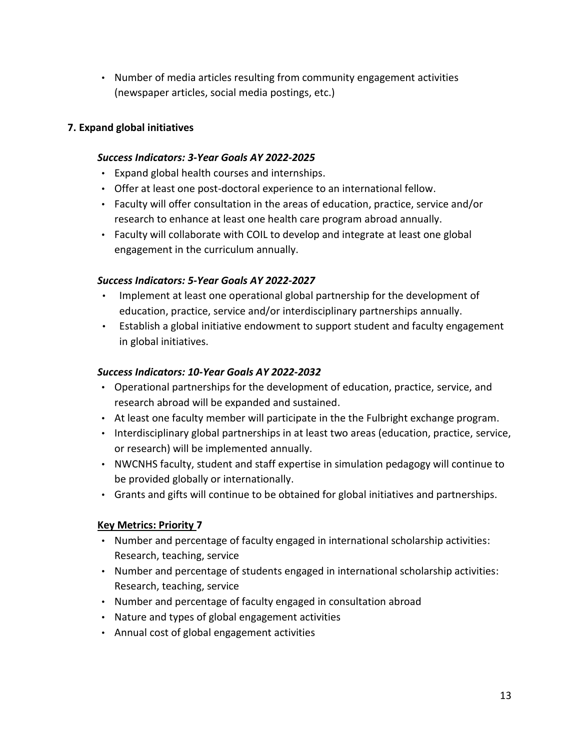• Number of media articles resulting from community engagement activities (newspaper articles, social media postings, etc.)

# **7. Expand global initiatives**

### *Success Indicators: 3-Year Goals AY 2022-2025*

- Expand global health courses and internships.
- Offer at least one post-doctoral experience to an international fellow.
- Faculty will offer consultation in the areas of education, practice, service and/or research to enhance at least one health care program abroad annually.
- Faculty will collaborate with COIL to develop and integrate at least one global engagement in the curriculum annually.

### *Success Indicators: 5-Year Goals AY 2022-2027*

- Implement at least one operational global partnership for the development of education, practice, service and/or interdisciplinary partnerships annually.
- Establish a global initiative endowment to support student and faculty engagement in global initiatives.

### *Success Indicators: 10-Year Goals AY 2022-2032*

- Operational partnerships for the development of education, practice, service, and research abroad will be expanded and sustained.
- At least one faculty member will participate in the the Fulbright exchange program.
- Interdisciplinary global partnerships in at least two areas (education, practice, service, or research) will be implemented annually.
- NWCNHS faculty, student and staff expertise in simulation pedagogy will continue to be provided globally or internationally.
- Grants and gifts will continue to be obtained for global initiatives and partnerships.

#### **Key Metrics: Priority 7**

- Number and percentage of faculty engaged in international scholarship activities: Research, teaching, service
- Number and percentage of students engaged in international scholarship activities: Research, teaching, service
- Number and percentage of faculty engaged in consultation abroad
- Nature and types of global engagement activities
- Annual cost of global engagement activities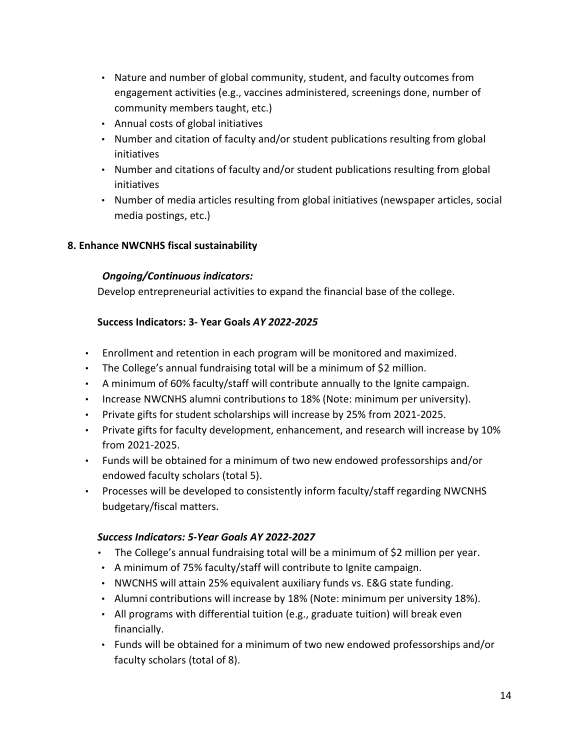- Nature and number of global community, student, and faculty outcomes from engagement activities (e.g., vaccines administered, screenings done, number of community members taught, etc.)
- Annual costs of global initiatives
- Number and citation of faculty and/or student publications resulting from global initiatives
- Number and citations of faculty and/or student publications resulting from global initiatives
- Number of media articles resulting from global initiatives (newspaper articles, social media postings, etc.)

# **8. Enhance NWCNHS fiscal sustainability**

# *Ongoing/Continuous indicators:*

Develop entrepreneurial activities to expand the financial base of the college.

# **Success Indicators: 3- Year Goals** *AY 2022-2025*

- Enrollment and retention in each program will be monitored and maximized.
- The College's annual fundraising total will be a minimum of \$2 million.
- A minimum of 60% faculty/staff will contribute annually to the Ignite campaign.
- Increase NWCNHS alumni contributions to 18% (Note: minimum per university).
- Private gifts for student scholarships will increase by 25% from 2021-2025.
- Private gifts for faculty development, enhancement, and research will increase by 10% from 2021-2025.
- Funds will be obtained for a minimum of two new endowed professorships and/or endowed faculty scholars (total 5).
- Processes will be developed to consistently inform faculty/staff regarding NWCNHS budgetary/fiscal matters.

# *Success Indicators: 5-Year Goals AY 2022-2027*

- The College's annual fundraising total will be a minimum of \$2 million per year.
- A minimum of 75% faculty/staff will contribute to Ignite campaign.
- NWCNHS will attain 25% equivalent auxiliary funds vs. E&G state funding.
- Alumni contributions will increase by 18% (Note: minimum per university 18%).
- All programs with differential tuition (e.g., graduate tuition) will break even financially.
- Funds will be obtained for a minimum of two new endowed professorships and/or faculty scholars (total of 8).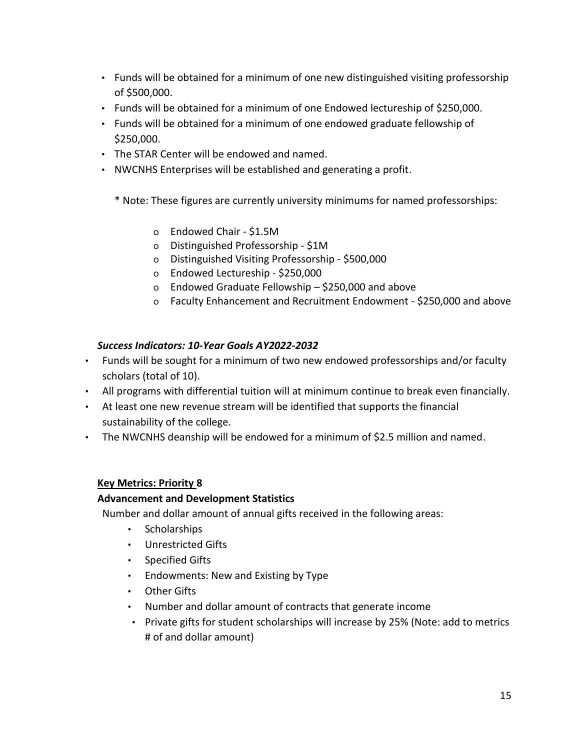- Funds will be obtained for a minimum of one new distinguished visiting professorship of \$500,000.
- Funds will be obtained for a minimum of one Endowed lectureship of \$250,000.
- Funds will be obtained for a minimum of one endowed graduate fellowship of \$250,000.
- The STAR Center will be endowed and named.
- NWCNHS Enterprises will be established and generating a profit.
	- \* Note: These figures are currently university minimums for named professorships:
		- o Endowed Chair \$1.5M
		- o Distinguished Professorship \$1M
		- o Distinguished Visiting Professorship \$500,000
		- o Endowed Lectureship \$250,000
		- o Endowed Graduate Fellowship \$250,000 and above
		- o Faculty Enhancement and Recruitment Endowment \$250,000 and above

# *Success Indicators: 10-Year Goals AY2022-2032*

- Funds will be sought for a minimum of two new endowed professorships and/or faculty scholars (total of 10).
- All programs with differential tuition will at minimum continue to break even financially.
- At least one new revenue stream will be identified that supports the financial sustainability of the college.
- The NWCNHS deanship will be endowed for a minimum of \$2.5 million and named.

# **Key Metrics: Priority 8**

# **Advancement and Development Statistics**

Number and dollar amount of annual gifts received in the following areas:

- Scholarships
- Unrestricted Gifts
- Specified Gifts
- Endowments: New and Existing by Type
- Other Gifts
- Number and dollar amount of contracts that generate income
- Private gifts for student scholarships will increase by 25% (Note: add to metrics # of and dollar amount)